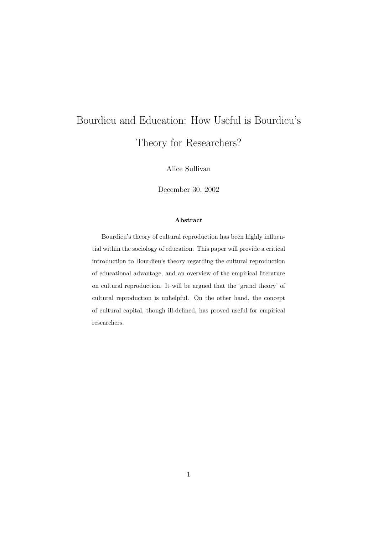# Bourdieu and Education: How Useful is Bourdieu's Theory for Researchers?

Alice Sullivan

December 30, 2002

# Abstract

Bourdieu's theory of cultural reproduction has been highly influential within the sociology of education. This paper will provide a critical introduction to Bourdieu's theory regarding the cultural reproduction of educational advantage, and an overview of the empirical literature on cultural reproduction. It will be argued that the 'grand theory' of cultural reproduction is unhelpful. On the other hand, the concept of cultural capital, though ill-defined, has proved useful for empirical researchers.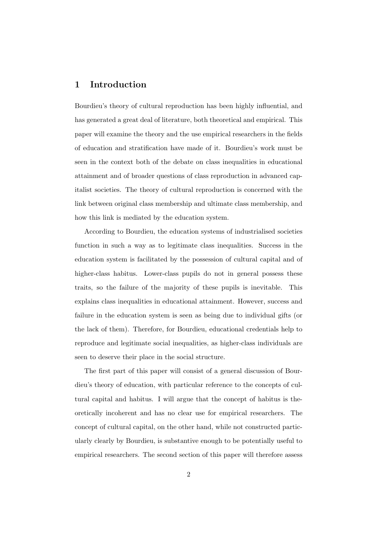# 1 Introduction

Bourdieu's theory of cultural reproduction has been highly influential, and has generated a great deal of literature, both theoretical and empirical. This paper will examine the theory and the use empirical researchers in the fields of education and stratification have made of it. Bourdieu's work must be seen in the context both of the debate on class inequalities in educational attainment and of broader questions of class reproduction in advanced capitalist societies. The theory of cultural reproduction is concerned with the link between original class membership and ultimate class membership, and how this link is mediated by the education system.

According to Bourdieu, the education systems of industrialised societies function in such a way as to legitimate class inequalities. Success in the education system is facilitated by the possession of cultural capital and of higher-class habitus. Lower-class pupils do not in general possess these traits, so the failure of the majority of these pupils is inevitable. This explains class inequalities in educational attainment. However, success and failure in the education system is seen as being due to individual gifts (or the lack of them). Therefore, for Bourdieu, educational credentials help to reproduce and legitimate social inequalities, as higher-class individuals are seen to deserve their place in the social structure.

The first part of this paper will consist of a general discussion of Bourdieu's theory of education, with particular reference to the concepts of cultural capital and habitus. I will argue that the concept of habitus is theoretically incoherent and has no clear use for empirical researchers. The concept of cultural capital, on the other hand, while not constructed particularly clearly by Bourdieu, is substantive enough to be potentially useful to empirical researchers. The second section of this paper will therefore assess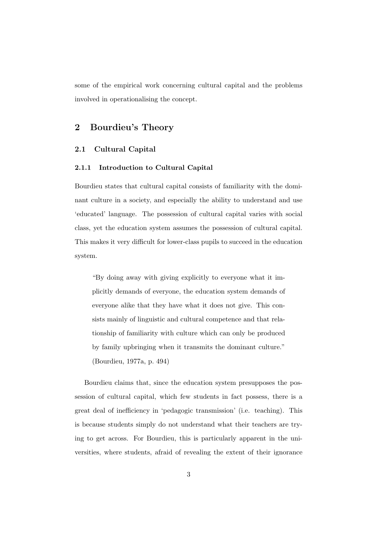some of the empirical work concerning cultural capital and the problems involved in operationalising the concept.

# 2 Bourdieu's Theory

# 2.1 Cultural Capital

## 2.1.1 Introduction to Cultural Capital

Bourdieu states that cultural capital consists of familiarity with the dominant culture in a society, and especially the ability to understand and use 'educated' language. The possession of cultural capital varies with social class, yet the education system assumes the possession of cultural capital. This makes it very difficult for lower-class pupils to succeed in the education system.

"By doing away with giving explicitly to everyone what it implicitly demands of everyone, the education system demands of everyone alike that they have what it does not give. This consists mainly of linguistic and cultural competence and that relationship of familiarity with culture which can only be produced by family upbringing when it transmits the dominant culture." (Bourdieu, 1977a, p. 494)

Bourdieu claims that, since the education system presupposes the possession of cultural capital, which few students in fact possess, there is a great deal of inefficiency in 'pedagogic transmission' (i.e. teaching). This is because students simply do not understand what their teachers are trying to get across. For Bourdieu, this is particularly apparent in the universities, where students, afraid of revealing the extent of their ignorance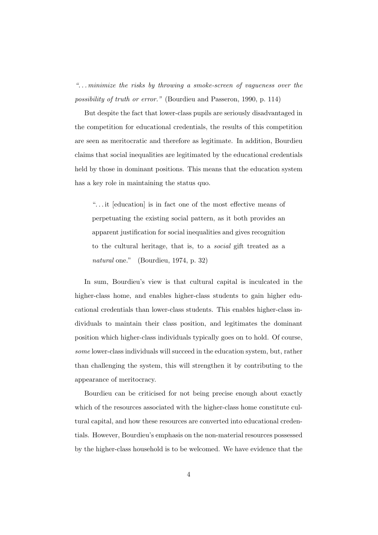". . . minimize the risks by throwing a smoke-screen of vagueness over the possibility of truth or error." (Bourdieu and Passeron, 1990, p. 114)

But despite the fact that lower-class pupils are seriously disadvantaged in the competition for educational credentials, the results of this competition are seen as meritocratic and therefore as legitimate. In addition, Bourdieu claims that social inequalities are legitimated by the educational credentials held by those in dominant positions. This means that the education system has a key role in maintaining the status quo.

". . . it [education] is in fact one of the most effective means of perpetuating the existing social pattern, as it both provides an apparent justification for social inequalities and gives recognition to the cultural heritage, that is, to a social gift treated as a natural one." (Bourdieu, 1974, p. 32)

In sum, Bourdieu's view is that cultural capital is inculcated in the higher-class home, and enables higher-class students to gain higher educational credentials than lower-class students. This enables higher-class individuals to maintain their class position, and legitimates the dominant position which higher-class individuals typically goes on to hold. Of course, some lower-class individuals will succeed in the education system, but, rather than challenging the system, this will strengthen it by contributing to the appearance of meritocracy.

Bourdieu can be criticised for not being precise enough about exactly which of the resources associated with the higher-class home constitute cultural capital, and how these resources are converted into educational credentials. However, Bourdieu's emphasis on the non-material resources possessed by the higher-class household is to be welcomed. We have evidence that the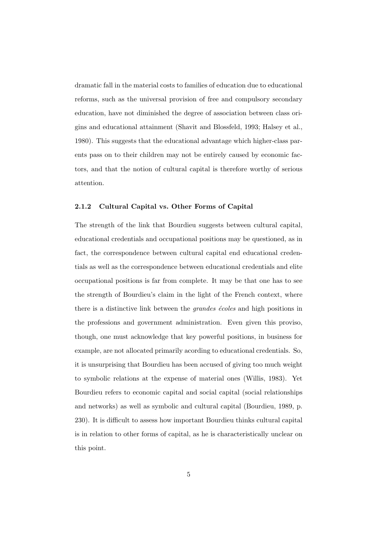dramatic fall in the material costs to families of education due to educational reforms, such as the universal provision of free and compulsory secondary education, have not diminished the degree of association between class origins and educational attainment (Shavit and Blossfeld, 1993; Halsey et al., 1980). This suggests that the educational advantage which higher-class parents pass on to their children may not be entirely caused by economic factors, and that the notion of cultural capital is therefore worthy of serious attention.

## 2.1.2 Cultural Capital vs. Other Forms of Capital

The strength of the link that Bourdieu suggests between cultural capital, educational credentials and occupational positions may be questioned, as in fact, the correspondence between cultural capital end educational credentials as well as the correspondence between educational credentials and elite occupational positions is far from complete. It may be that one has to see the strength of Bourdieu's claim in the light of the French context, where there is a distinctive link between the *grandes* écoles and high positions in the professions and government administration. Even given this proviso, though, one must acknowledge that key powerful positions, in business for example, are not allocated primarily acording to educational credentials. So, it is unsurprising that Bourdieu has been accused of giving too much weight to symbolic relations at the expense of material ones (Willis, 1983). Yet Bourdieu refers to economic capital and social capital (social relationships and networks) as well as symbolic and cultural capital (Bourdieu, 1989, p. 230). It is difficult to assess how important Bourdieu thinks cultural capital is in relation to other forms of capital, as he is characteristically unclear on this point.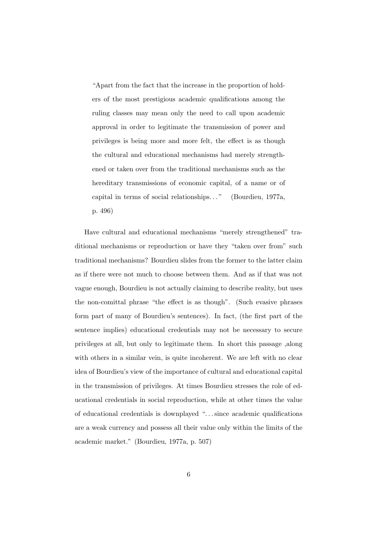"Apart from the fact that the increase in the proportion of holders of the most prestigious academic qualifications among the ruling classes may mean only the need to call upon academic approval in order to legitimate the transmission of power and privileges is being more and more felt, the effect is as though the cultural and educational mechanisms had merely strengthened or taken over from the traditional mechanisms such as the hereditary transmissions of economic capital, of a name or of capital in terms of social relationships. . . " (Bourdieu, 1977a, p. 496)

Have cultural and educational mechanisms "merely strengthened" traditional mechanisms or reproduction or have they "taken over from" such traditional mechanisms? Bourdieu slides from the former to the latter claim as if there were not much to choose between them. And as if that was not vague enough, Bourdieu is not actually claiming to describe reality, but uses the non-comittal phrase "the effect is as though". (Such evasive phrases form part of many of Bourdieu's sentences). In fact, (the first part of the sentence implies) educational credentials may not be necessary to secure privileges at all, but only to legitimate them. In short this passage ,along with others in a similar vein, is quite incoherent. We are left with no clear idea of Bourdieu's view of the importance of cultural and educational capital in the transmission of privileges. At times Bourdieu stresses the role of educational credentials in social reproduction, while at other times the value of educational credentials is downplayed ". . . since academic qualifications are a weak currency and possess all their value only within the limits of the academic market." (Bourdieu, 1977a, p. 507)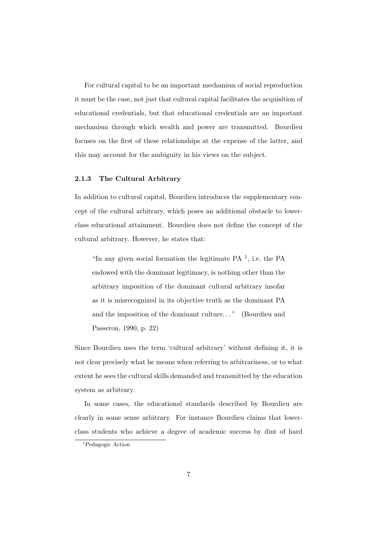For cultural capital to be an important mechanism of social reproduction it must be the case, not just that cultural capital facilitates the acquisition of educational credentials, but that educational credentials are an important mechanism through which wealth and power are transmitted. Bourdieu focuses on the first of these relationships at the expense of the latter, and this may account for the ambiguity in his views on the subject.

#### 2.1.3 The Cultural Arbitrary

In addition to cultural capital, Bourdieu introduces the supplementary concept of the cultural arbitrary, which poses an additional obstacle to lowerclass educational attainment. Bourdieu does not define the concept of the cultural arbitrary. However, he states that:

"In any given social formation the legitimate  $PA$ <sup>1</sup>, i.e. the  $PA$ endowed with the dominant legitimacy, is nothing other than the arbitrary imposition of the dominant cultural arbitrary insofar as it is misrecognized in its objective truth as the dominant PA and the imposition of the dominant culture. . . " (Bourdieu and Passeron, 1990, p. 22)

Since Bourdieu uses the term 'cultural arbitrary' without defining it, it is not clear precisely what he means when referring to arbitrariness, or to what extent he sees the cultural skills demanded and transmitted by the education system as arbitrary.

In some cases, the educational standards described by Bourdieu are clearly in some sense arbitrary. For instance Bourdieu claims that lowerclass students who achieve a degree of academic success by dint of hard

<sup>1</sup>Pedagogic Action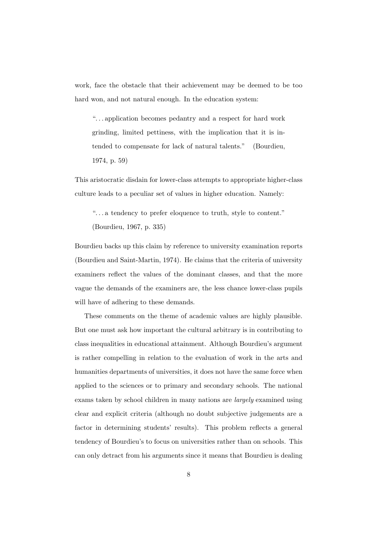work, face the obstacle that their achievement may be deemed to be too hard won, and not natural enough. In the education system:

". . . application becomes pedantry and a respect for hard work grinding, limited pettiness, with the implication that it is intended to compensate for lack of natural talents." (Bourdieu, 1974, p. 59)

This aristocratic disdain for lower-class attempts to appropriate higher-class culture leads to a peculiar set of values in higher education. Namely:

". . . a tendency to prefer eloquence to truth, style to content." (Bourdieu, 1967, p. 335)

Bourdieu backs up this claim by reference to university examination reports (Bourdieu and Saint-Martin, 1974). He claims that the criteria of university examiners reflect the values of the dominant classes, and that the more vague the demands of the examiners are, the less chance lower-class pupils will have of adhering to these demands.

These comments on the theme of academic values are highly plausible. But one must ask how important the cultural arbitrary is in contributing to class inequalities in educational attainment. Although Bourdieu's argument is rather compelling in relation to the evaluation of work in the arts and humanities departments of universities, it does not have the same force when applied to the sciences or to primary and secondary schools. The national exams taken by school children in many nations are *largely* examined using clear and explicit criteria (although no doubt subjective judgements are a factor in determining students' results). This problem reflects a general tendency of Bourdieu's to focus on universities rather than on schools. This can only detract from his arguments since it means that Bourdieu is dealing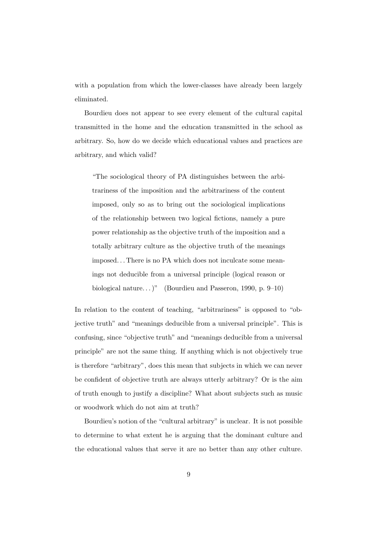with a population from which the lower-classes have already been largely eliminated.

Bourdieu does not appear to see every element of the cultural capital transmitted in the home and the education transmitted in the school as arbitrary. So, how do we decide which educational values and practices are arbitrary, and which valid?

"The sociological theory of PA distinguishes between the arbitrariness of the imposition and the arbitrariness of the content imposed, only so as to bring out the sociological implications of the relationship between two logical fictions, namely a pure power relationship as the objective truth of the imposition and a totally arbitrary culture as the objective truth of the meanings imposed. . . There is no PA which does not inculcate some meanings not deducible from a universal principle (logical reason or biological nature...)" (Bourdieu and Passeron, 1990, p. 9–10)

In relation to the content of teaching, "arbitrariness" is opposed to "objective truth" and "meanings deducible from a universal principle". This is confusing, since "objective truth" and "meanings deducible from a universal principle" are not the same thing. If anything which is not objectively true is therefore "arbitrary", does this mean that subjects in which we can never be confident of objective truth are always utterly arbitrary? Or is the aim of truth enough to justify a discipline? What about subjects such as music or woodwork which do not aim at truth?

Bourdieu's notion of the "cultural arbitrary" is unclear. It is not possible to determine to what extent he is arguing that the dominant culture and the educational values that serve it are no better than any other culture.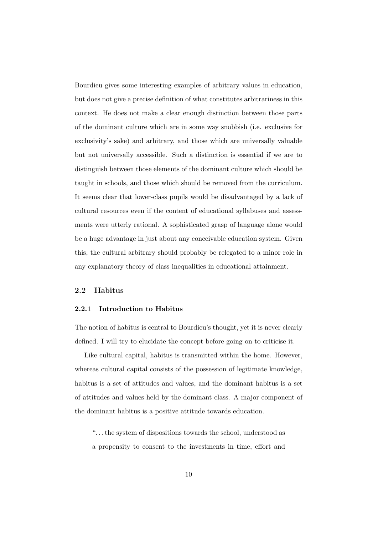Bourdieu gives some interesting examples of arbitrary values in education, but does not give a precise definition of what constitutes arbitrariness in this context. He does not make a clear enough distinction between those parts of the dominant culture which are in some way snobbish (i.e. exclusive for exclusivity's sake) and arbitrary, and those which are universally valuable but not universally accessible. Such a distinction is essential if we are to distinguish between those elements of the dominant culture which should be taught in schools, and those which should be removed from the curriculum. It seems clear that lower-class pupils would be disadvantaged by a lack of cultural resources even if the content of educational syllabuses and assessments were utterly rational. A sophisticated grasp of language alone would be a huge advantage in just about any conceivable education system. Given this, the cultural arbitrary should probably be relegated to a minor role in any explanatory theory of class inequalities in educational attainment.

# 2.2 Habitus

#### 2.2.1 Introduction to Habitus

The notion of habitus is central to Bourdieu's thought, yet it is never clearly defined. I will try to elucidate the concept before going on to criticise it.

Like cultural capital, habitus is transmitted within the home. However, whereas cultural capital consists of the possession of legitimate knowledge, habitus is a set of attitudes and values, and the dominant habitus is a set of attitudes and values held by the dominant class. A major component of the dominant habitus is a positive attitude towards education.

". . . the system of dispositions towards the school, understood as a propensity to consent to the investments in time, effort and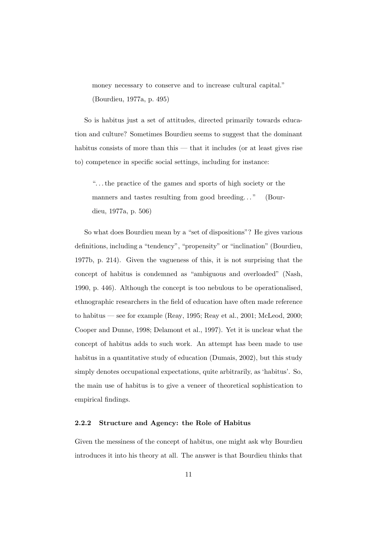money necessary to conserve and to increase cultural capital." (Bourdieu, 1977a, p. 495)

So is habitus just a set of attitudes, directed primarily towards education and culture? Sometimes Bourdieu seems to suggest that the dominant habitus consists of more than this — that it includes (or at least gives rise to) competence in specific social settings, including for instance:

". . . the practice of the games and sports of high society or the manners and tastes resulting from good breeding..." (Bourdieu, 1977a, p. 506)

So what does Bourdieu mean by a "set of dispositions"? He gives various definitions, including a "tendency", "propensity" or "inclination" (Bourdieu, 1977b, p. 214). Given the vagueness of this, it is not surprising that the concept of habitus is condemned as "ambiguous and overloaded" (Nash, 1990, p. 446). Although the concept is too nebulous to be operationalised, ethnographic researchers in the field of education have often made reference to habitus — see for example (Reay, 1995; Reay et al., 2001; McLeod, 2000; Cooper and Dunne, 1998; Delamont et al., 1997). Yet it is unclear what the concept of habitus adds to such work. An attempt has been made to use habitus in a quantitative study of education (Dumais, 2002), but this study simply denotes occupational expectations, quite arbitrarily, as 'habitus'. So, the main use of habitus is to give a veneer of theoretical sophistication to empirical findings.

# 2.2.2 Structure and Agency: the Role of Habitus

Given the messiness of the concept of habitus, one might ask why Bourdieu introduces it into his theory at all. The answer is that Bourdieu thinks that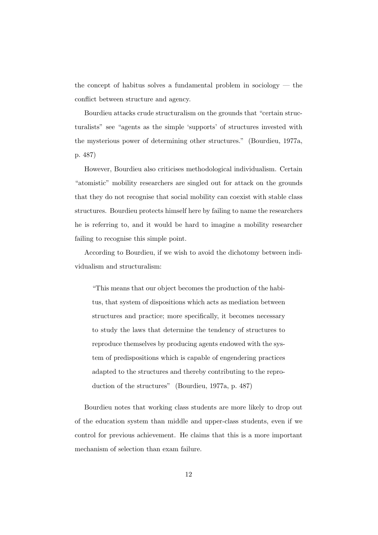the concept of habitus solves a fundamental problem in sociology — the conflict between structure and agency.

Bourdieu attacks crude structuralism on the grounds that "certain structuralists" see "agents as the simple 'supports' of structures invested with the mysterious power of determining other structures." (Bourdieu, 1977a, p. 487)

However, Bourdieu also criticises methodological individualism. Certain "atomistic" mobility researchers are singled out for attack on the grounds that they do not recognise that social mobility can coexist with stable class structures. Bourdieu protects himself here by failing to name the researchers he is referring to, and it would be hard to imagine a mobility researcher failing to recognise this simple point.

According to Bourdieu, if we wish to avoid the dichotomy between individualism and structuralism:

"This means that our object becomes the production of the habitus, that system of dispositions which acts as mediation between structures and practice; more specifically, it becomes necessary to study the laws that determine the tendency of structures to reproduce themselves by producing agents endowed with the system of predispositions which is capable of engendering practices adapted to the structures and thereby contributing to the reproduction of the structures" (Bourdieu, 1977a, p. 487)

Bourdieu notes that working class students are more likely to drop out of the education system than middle and upper-class students, even if we control for previous achievement. He claims that this is a more important mechanism of selection than exam failure.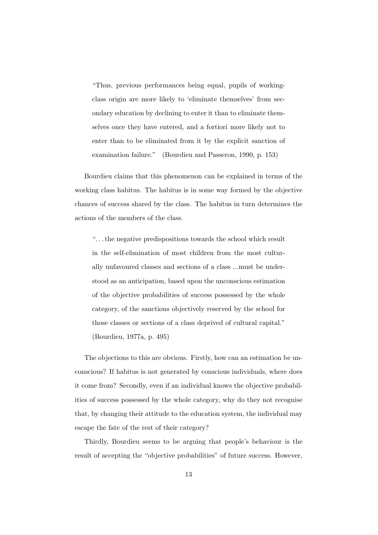"Thus, previous performances being equal, pupils of workingclass origin are more likely to 'eliminate themselves' from secondary education by declining to enter it than to eliminate themselves once they have entered, and a fortiori more likely not to enter than to be eliminated from it by the explicit sanction of examination failure." (Bourdieu and Passeron, 1990, p. 153)

Bourdieu claims that this phenomenon can be explained in terms of the working class habitus. The habitus is in some way formed by the objective chances of success shared by the class. The habitus in turn determines the actions of the members of the class.

". . . the negative predispositions towards the school which result in the self-elimination of most children from the most culturally unfavoured classes and sections of a class ...must be understood as an anticipation, based upon the unconscious estimation of the objective probabilities of success possessed by the whole category, of the sanctions objectively reserved by the school for those classes or sections of a class deprived of cultural capital."

(Bourdieu, 1977a, p. 495)

The objections to this are obvious. Firstly, how can an estimation be unconscious? If habitus is not generated by conscious individuals, where does it come from? Secondly, even if an individual knows the objective probabilities of success possessed by the whole category, why do they not recognise that, by changing their attitude to the education system, the individual may escape the fate of the rest of their category?

Thirdly, Bourdieu seems to be arguing that people's behaviour is the result of accepting the "objective probabilities" of future success. However,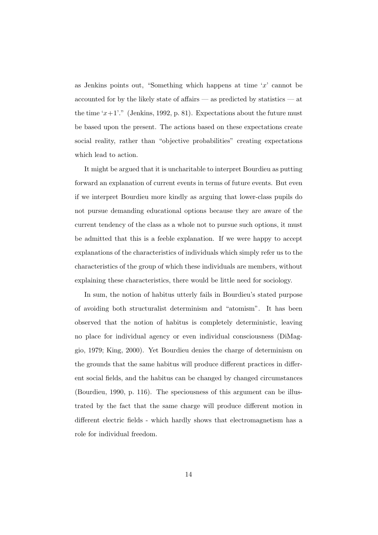as Jenkins points out, "Something which happens at time 'x' cannot be accounted for by the likely state of affairs — as predicted by statistics — at the time ' $x+1$ '." (Jenkins, 1992, p. 81). Expectations about the future must be based upon the present. The actions based on these expectations create social reality, rather than "objective probabilities" creating expectations which lead to action.

It might be argued that it is uncharitable to interpret Bourdieu as putting forward an explanation of current events in terms of future events. But even if we interpret Bourdieu more kindly as arguing that lower-class pupils do not pursue demanding educational options because they are aware of the current tendency of the class as a whole not to pursue such options, it must be admitted that this is a feeble explanation. If we were happy to accept explanations of the characteristics of individuals which simply refer us to the characteristics of the group of which these individuals are members, without explaining these characteristics, there would be little need for sociology.

In sum, the notion of habitus utterly fails in Bourdieu's stated purpose of avoiding both structuralist determinism and "atomism". It has been observed that the notion of habitus is completely deterministic, leaving no place for individual agency or even individual consciousness (DiMaggio, 1979; King, 2000). Yet Bourdieu denies the charge of determinism on the grounds that the same habitus will produce different practices in different social fields, and the habitus can be changed by changed circumstances (Bourdieu, 1990, p. 116). The speciousness of this argument can be illustrated by the fact that the same charge will produce different motion in different electric fields - which hardly shows that electromagnetism has a role for individual freedom.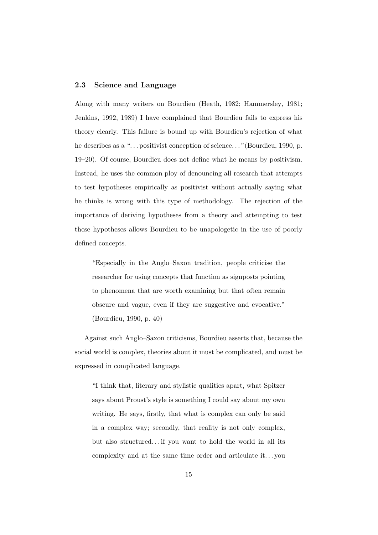## 2.3 Science and Language

Along with many writers on Bourdieu (Heath, 1982; Hammersley, 1981; Jenkins, 1992, 1989) I have complained that Bourdieu fails to express his theory clearly. This failure is bound up with Bourdieu's rejection of what he describes as a "... positivist conception of science..." (Bourdieu, 1990, p. 19–20). Of course, Bourdieu does not define what he means by positivism. Instead, he uses the common ploy of denouncing all research that attempts to test hypotheses empirically as positivist without actually saying what he thinks is wrong with this type of methodology. The rejection of the importance of deriving hypotheses from a theory and attempting to test these hypotheses allows Bourdieu to be unapologetic in the use of poorly defined concepts.

"Especially in the Anglo–Saxon tradition, people criticise the researcher for using concepts that function as signposts pointing to phenomena that are worth examining but that often remain obscure and vague, even if they are suggestive and evocative." (Bourdieu, 1990, p. 40)

Against such Anglo–Saxon criticisms, Bourdieu asserts that, because the social world is complex, theories about it must be complicated, and must be expressed in complicated language.

"I think that, literary and stylistic qualities apart, what Spitzer says about Proust's style is something I could say about my own writing. He says, firstly, that what is complex can only be said in a complex way; secondly, that reality is not only complex, but also structured. . . if you want to hold the world in all its complexity and at the same time order and articulate it. . . you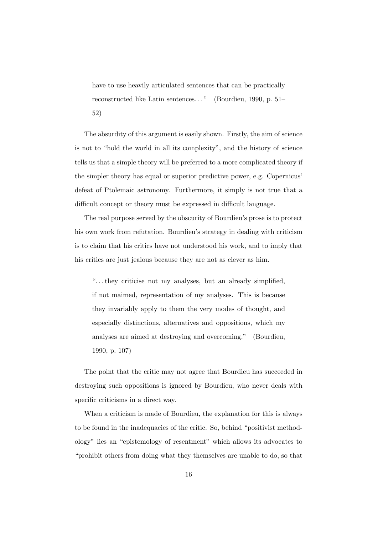have to use heavily articulated sentences that can be practically reconstructed like Latin sentences. . . " (Bourdieu, 1990, p. 51– 52)

The absurdity of this argument is easily shown. Firstly, the aim of science is not to "hold the world in all its complexity", and the history of science tells us that a simple theory will be preferred to a more complicated theory if the simpler theory has equal or superior predictive power, e.g. Copernicus' defeat of Ptolemaic astronomy. Furthermore, it simply is not true that a difficult concept or theory must be expressed in difficult language.

The real purpose served by the obscurity of Bourdieu's prose is to protect his own work from refutation. Bourdieu's strategy in dealing with criticism is to claim that his critics have not understood his work, and to imply that his critics are just jealous because they are not as clever as him.

". . . they criticise not my analyses, but an already simplified, if not maimed, representation of my analyses. This is because they invariably apply to them the very modes of thought, and especially distinctions, alternatives and oppositions, which my analyses are aimed at destroying and overcoming." (Bourdieu, 1990, p. 107)

The point that the critic may not agree that Bourdieu has succeeded in destroying such oppositions is ignored by Bourdieu, who never deals with specific criticisms in a direct way.

When a criticism is made of Bourdieu, the explanation for this is always to be found in the inadequacies of the critic. So, behind "positivist methodology" lies an "epistemology of resentment" which allows its advocates to "prohibit others from doing what they themselves are unable to do, so that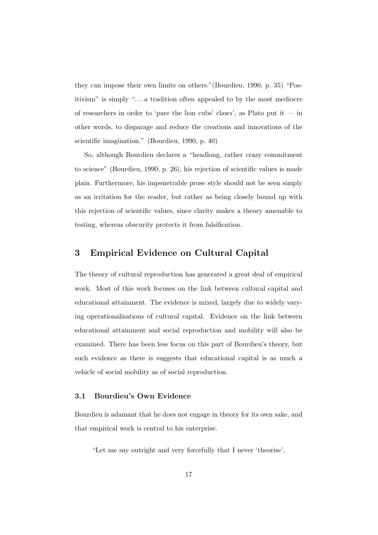they can impose their own limits on others."(Bourdieu, 1990, p. 35) "Positivism" is simply ". . . a tradition often appealed to by the most mediocre of researchers in order to 'pare the lion cubs' claws', as Plato put it  $-$  in other words, to disparage and reduce the creations and innovations of the scientific imagination." (Bourdieu, 1990, p. 40)

So, although Bourdieu declares a "headlong, rather crazy commitment to science" (Bourdieu, 1990, p. 26), his rejection of scientific values is made plain. Furthermore, his impenetrable prose style should not be seen simply as an irritation for the reader, but rather as being closely bound up with this rejection of scientific values, since clarity makes a theory amenable to testing, whereas obscurity protects it from falsification.

# 3 Empirical Evidence on Cultural Capital

The theory of cultural reproduction has generated a great deal of empirical work. Most of this work focuses on the link between cultural capital and educational attainment. The evidence is mixed, largely due to widely varying operationalisations of cultural capital. Evidence on the link between educational attainment and social reproduction and mobility will also be examined. There has been less focus on this part of Bourdieu's theory, but such evidence as there is suggests that educational capital is as much a vehicle of social mobility as of social reproduction.

### 3.1 Bourdieu's Own Evidence

Bourdieu is adamant that he does not engage in theory for its own sake, and that empirical work is central to his enterprise.

"Let me say outright and very forcefully that I never 'theorise',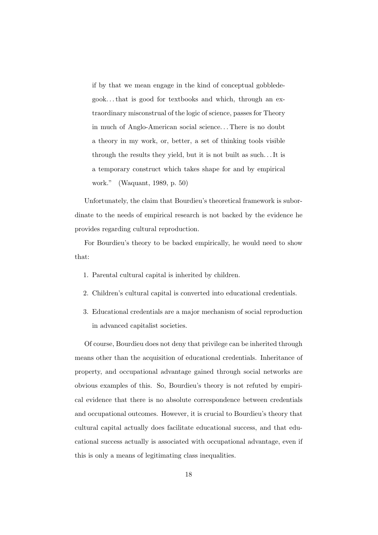if by that we mean engage in the kind of conceptual gobbledegook. . . that is good for textbooks and which, through an extraordinary misconstrual of the logic of science, passes for Theory in much of Anglo-American social science. . . There is no doubt a theory in my work, or, better, a set of thinking tools visible through the results they yield, but it is not built as such. . . It is a temporary construct which takes shape for and by empirical work." (Waquant, 1989, p. 50)

Unfortunately, the claim that Bourdieu's theoretical framework is subordinate to the needs of empirical research is not backed by the evidence he provides regarding cultural reproduction.

For Bourdieu's theory to be backed empirically, he would need to show that:

- 1. Parental cultural capital is inherited by children.
- 2. Children's cultural capital is converted into educational credentials.
- 3. Educational credentials are a major mechanism of social reproduction in advanced capitalist societies.

Of course, Bourdieu does not deny that privilege can be inherited through means other than the acquisition of educational credentials. Inheritance of property, and occupational advantage gained through social networks are obvious examples of this. So, Bourdieu's theory is not refuted by empirical evidence that there is no absolute correspondence between credentials and occupational outcomes. However, it is crucial to Bourdieu's theory that cultural capital actually does facilitate educational success, and that educational success actually is associated with occupational advantage, even if this is only a means of legitimating class inequalities.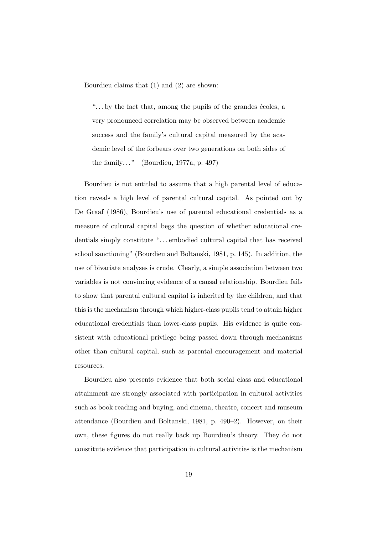Bourdieu claims that (1) and (2) are shown:

" $\dots$  by the fact that, among the pupils of the grandes écoles, a very pronounced correlation may be observed between academic success and the family's cultural capital measured by the academic level of the forbears over two generations on both sides of the family..." (Bourdieu, 1977a, p. 497)

Bourdieu is not entitled to assume that a high parental level of education reveals a high level of parental cultural capital. As pointed out by De Graaf (1986), Bourdieu's use of parental educational credentials as a measure of cultural capital begs the question of whether educational credentials simply constitute "...embodied cultural capital that has received school sanctioning" (Bourdieu and Boltanski, 1981, p. 145). In addition, the use of bivariate analyses is crude. Clearly, a simple association between two variables is not convincing evidence of a causal relationship. Bourdieu fails to show that parental cultural capital is inherited by the children, and that this is the mechanism through which higher-class pupils tend to attain higher educational credentials than lower-class pupils. His evidence is quite consistent with educational privilege being passed down through mechanisms other than cultural capital, such as parental encouragement and material resources.

Bourdieu also presents evidence that both social class and educational attainment are strongly associated with participation in cultural activities such as book reading and buying, and cinema, theatre, concert and museum attendance (Bourdieu and Boltanski, 1981, p. 490–2). However, on their own, these figures do not really back up Bourdieu's theory. They do not constitute evidence that participation in cultural activities is the mechanism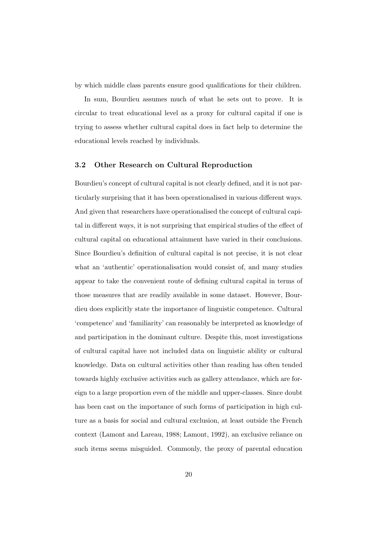by which middle class parents ensure good qualifications for their children.

In sum, Bourdieu assumes much of what he sets out to prove. It is circular to treat educational level as a proxy for cultural capital if one is trying to assess whether cultural capital does in fact help to determine the educational levels reached by individuals.

## 3.2 Other Research on Cultural Reproduction

Bourdieu's concept of cultural capital is not clearly defined, and it is not particularly surprising that it has been operationalised in various different ways. And given that researchers have operationalised the concept of cultural capital in different ways, it is not surprising that empirical studies of the effect of cultural capital on educational attainment have varied in their conclusions. Since Bourdieu's definition of cultural capital is not precise, it is not clear what an 'authentic' operationalisation would consist of, and many studies appear to take the convenient route of defining cultural capital in terms of those measures that are readily available in some dataset. However, Bourdieu does explicitly state the importance of linguistic competence. Cultural 'competence' and 'familiarity' can reasonably be interpreted as knowledge of and participation in the dominant culture. Despite this, most investigations of cultural capital have not included data on linguistic ability or cultural knowledge. Data on cultural activities other than reading has often tended towards highly exclusive activities such as gallery attendance, which are foreign to a large proportion even of the middle and upper-classes. Since doubt has been cast on the importance of such forms of participation in high culture as a basis for social and cultural exclusion, at least outside the French context (Lamont and Lareau, 1988; Lamont, 1992), an exclusive reliance on such items seems misguided. Commonly, the proxy of parental education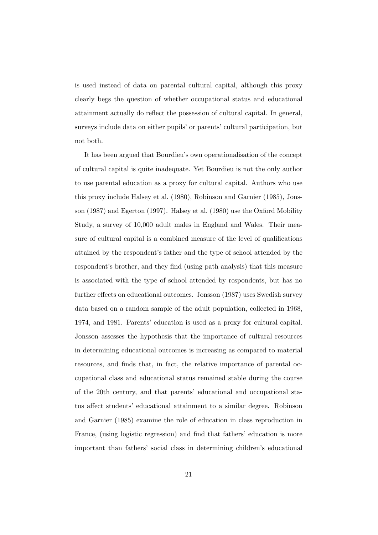is used instead of data on parental cultural capital, although this proxy clearly begs the question of whether occupational status and educational attainment actually do reflect the possession of cultural capital. In general, surveys include data on either pupils' or parents' cultural participation, but not both.

It has been argued that Bourdieu's own operationalisation of the concept of cultural capital is quite inadequate. Yet Bourdieu is not the only author to use parental education as a proxy for cultural capital. Authors who use this proxy include Halsey et al. (1980), Robinson and Garnier (1985), Jonsson (1987) and Egerton (1997). Halsey et al. (1980) use the Oxford Mobility Study, a survey of 10,000 adult males in England and Wales. Their measure of cultural capital is a combined measure of the level of qualifications attained by the respondent's father and the type of school attended by the respondent's brother, and they find (using path analysis) that this measure is associated with the type of school attended by respondents, but has no further effects on educational outcomes. Jonsson (1987) uses Swedish survey data based on a random sample of the adult population, collected in 1968, 1974, and 1981. Parents' education is used as a proxy for cultural capital. Jonsson assesses the hypothesis that the importance of cultural resources in determining educational outcomes is increasing as compared to material resources, and finds that, in fact, the relative importance of parental occupational class and educational status remained stable during the course of the 20th century, and that parents' educational and occupational status affect students' educational attainment to a similar degree. Robinson and Garnier (1985) examine the role of education in class reproduction in France, (using logistic regression) and find that fathers' education is more important than fathers' social class in determining children's educational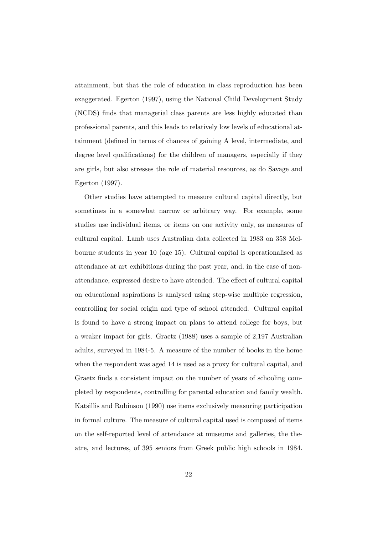attainment, but that the role of education in class reproduction has been exaggerated. Egerton (1997), using the National Child Development Study (NCDS) finds that managerial class parents are less highly educated than professional parents, and this leads to relatively low levels of educational attainment (defined in terms of chances of gaining A level, intermediate, and degree level qualifications) for the children of managers, especially if they are girls, but also stresses the role of material resources, as do Savage and Egerton (1997).

Other studies have attempted to measure cultural capital directly, but sometimes in a somewhat narrow or arbitrary way. For example, some studies use individual items, or items on one activity only, as measures of cultural capital. Lamb uses Australian data collected in 1983 on 358 Melbourne students in year 10 (age 15). Cultural capital is operationalised as attendance at art exhibitions during the past year, and, in the case of nonattendance, expressed desire to have attended. The effect of cultural capital on educational aspirations is analysed using step-wise multiple regression, controlling for social origin and type of school attended. Cultural capital is found to have a strong impact on plans to attend college for boys, but a weaker impact for girls. Graetz (1988) uses a sample of 2,197 Australian adults, surveyed in 1984-5. A measure of the number of books in the home when the respondent was aged 14 is used as a proxy for cultural capital, and Graetz finds a consistent impact on the number of years of schooling completed by respondents, controlling for parental education and family wealth. Katsillis and Rubinson (1990) use items exclusively measuring participation in formal culture. The measure of cultural capital used is composed of items on the self-reported level of attendance at museums and galleries, the theatre, and lectures, of 395 seniors from Greek public high schools in 1984.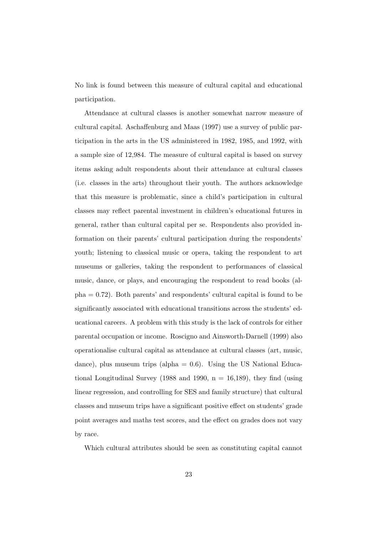No link is found between this measure of cultural capital and educational participation.

Attendance at cultural classes is another somewhat narrow measure of cultural capital. Aschaffenburg and Maas (1997) use a survey of public participation in the arts in the US administered in 1982, 1985, and 1992, with a sample size of 12,984. The measure of cultural capital is based on survey items asking adult respondents about their attendance at cultural classes (i.e. classes in the arts) throughout their youth. The authors acknowledge that this measure is problematic, since a child's participation in cultural classes may reflect parental investment in children's educational futures in general, rather than cultural capital per se. Respondents also provided information on their parents' cultural participation during the respondents' youth; listening to classical music or opera, taking the respondent to art museums or galleries, taking the respondent to performances of classical music, dance, or plays, and encouraging the respondent to read books (alpha = 0.72). Both parents' and respondents' cultural capital is found to be significantly associated with educational transitions across the students' educational careers. A problem with this study is the lack of controls for either parental occupation or income. Roscigno and Ainsworth-Darnell (1999) also operationalise cultural capital as attendance at cultural classes (art, music, dance), plus museum trips (alpha  $= 0.6$ ). Using the US National Educational Longitudinal Survey (1988 and 1990,  $n = 16,189$ ), they find (using linear regression, and controlling for SES and family structure) that cultural classes and museum trips have a significant positive effect on students' grade point averages and maths test scores, and the effect on grades does not vary by race.

Which cultural attributes should be seen as constituting capital cannot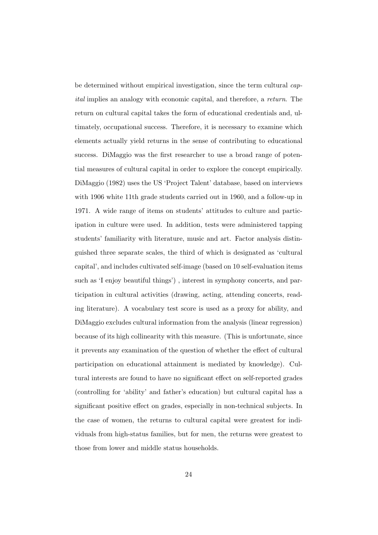be determined without empirical investigation, since the term cultural capital implies an analogy with economic capital, and therefore, a return. The return on cultural capital takes the form of educational credentials and, ultimately, occupational success. Therefore, it is necessary to examine which elements actually yield returns in the sense of contributing to educational success. DiMaggio was the first researcher to use a broad range of potential measures of cultural capital in order to explore the concept empirically. DiMaggio (1982) uses the US 'Project Talent' database, based on interviews with 1906 white 11th grade students carried out in 1960, and a follow-up in 1971. A wide range of items on students' attitudes to culture and participation in culture were used. In addition, tests were administered tapping students' familiarity with literature, music and art. Factor analysis distinguished three separate scales, the third of which is designated as 'cultural capital', and includes cultivated self-image (based on 10 self-evaluation items such as 'I enjoy beautiful things') , interest in symphony concerts, and participation in cultural activities (drawing, acting, attending concerts, reading literature). A vocabulary test score is used as a proxy for ability, and DiMaggio excludes cultural information from the analysis (linear regression) because of its high collinearity with this measure. (This is unfortunate, since it prevents any examination of the question of whether the effect of cultural participation on educational attainment is mediated by knowledge). Cultural interests are found to have no significant effect on self-reported grades (controlling for 'ability' and father's education) but cultural capital has a significant positive effect on grades, especially in non-technical subjects. In the case of women, the returns to cultural capital were greatest for individuals from high-status families, but for men, the returns were greatest to those from lower and middle status households.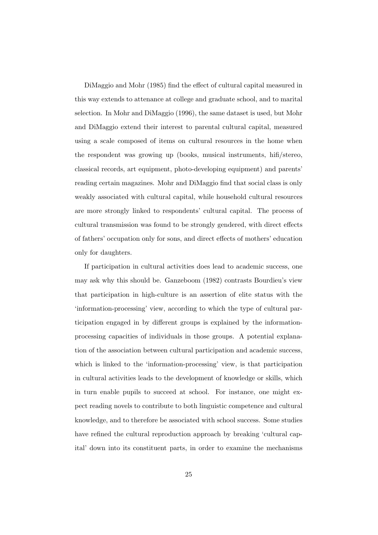DiMaggio and Mohr (1985) find the effect of cultural capital measured in this way extends to attenance at college and graduate school, and to marital selection. In Mohr and DiMaggio (1996), the same dataset is used, but Mohr and DiMaggio extend their interest to parental cultural capital, measured using a scale composed of items on cultural resources in the home when the respondent was growing up (books, musical instruments, hifi/stereo, classical records, art equipment, photo-developing equipment) and parents' reading certain magazines. Mohr and DiMaggio find that social class is only weakly associated with cultural capital, while household cultural resources are more strongly linked to respondents' cultural capital. The process of cultural transmission was found to be strongly gendered, with direct effects of fathers' occupation only for sons, and direct effects of mothers' education only for daughters.

If participation in cultural activities does lead to academic success, one may ask why this should be. Ganzeboom (1982) contrasts Bourdieu's view that participation in high-culture is an assertion of elite status with the 'information-processing' view, according to which the type of cultural participation engaged in by different groups is explained by the informationprocessing capacities of individuals in those groups. A potential explanation of the association between cultural participation and academic success, which is linked to the 'information-processing' view, is that participation in cultural activities leads to the development of knowledge or skills, which in turn enable pupils to succeed at school. For instance, one might expect reading novels to contribute to both linguistic competence and cultural knowledge, and to therefore be associated with school success. Some studies have refined the cultural reproduction approach by breaking 'cultural capital' down into its constituent parts, in order to examine the mechanisms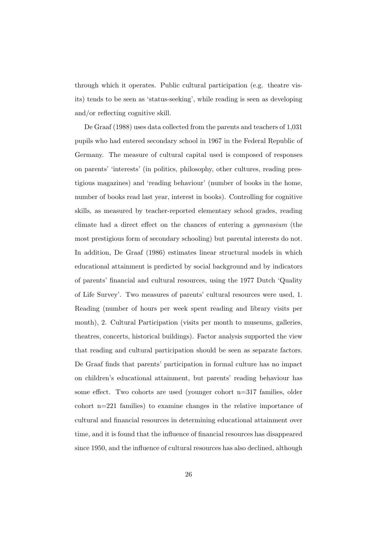through which it operates. Public cultural participation (e.g. theatre visits) tends to be seen as 'status-seeking', while reading is seen as developing and/or reflecting cognitive skill.

De Graaf (1988) uses data collected from the parents and teachers of 1,031 pupils who had entered secondary school in 1967 in the Federal Republic of Germany. The measure of cultural capital used is composed of responses on parents' 'interests' (in politics, philosophy, other cultures, reading prestigious magazines) and 'reading behaviour' (number of books in the home, number of books read last year, interest in books). Controlling for cognitive skills, as measured by teacher-reported elementary school grades, reading climate had a direct effect on the chances of entering a gymnasium (the most prestigious form of secondary schooling) but parental interests do not. In addition, De Graaf (1986) estimates linear structural models in which educational attainment is predicted by social background and by indicators of parents' financial and cultural resources, using the 1977 Dutch 'Quality of Life Survey'. Two measures of parents' cultural resources were used, 1. Reading (number of hours per week spent reading and library visits per month), 2. Cultural Participation (visits per month to museums, galleries, theatres, concerts, historical buildings). Factor analysis supported the view that reading and cultural participation should be seen as separate factors. De Graaf finds that parents' participation in formal culture has no impact on children's educational attainment, but parents' reading behaviour has some effect. Two cohorts are used (younger cohort n=317 families, older cohort n=221 families) to examine changes in the relative importance of cultural and financial resources in determining educational attainment over time, and it is found that the influence of financial resources has disappeared since 1950, and the influence of cultural resources has also declined, although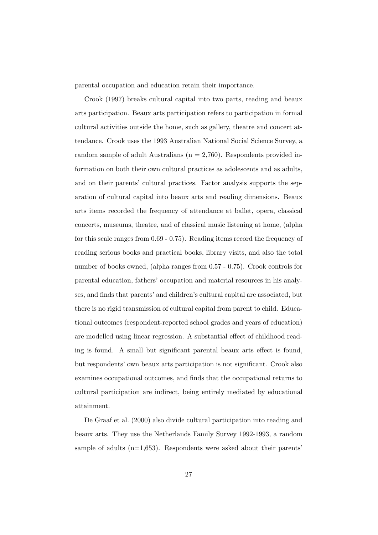parental occupation and education retain their importance.

Crook (1997) breaks cultural capital into two parts, reading and beaux arts participation. Beaux arts participation refers to participation in formal cultural activities outside the home, such as gallery, theatre and concert attendance. Crook uses the 1993 Australian National Social Science Survey, a random sample of adult Australians ( $n = 2,760$ ). Respondents provided information on both their own cultural practices as adolescents and as adults, and on their parents' cultural practices. Factor analysis supports the separation of cultural capital into beaux arts and reading dimensions. Beaux arts items recorded the frequency of attendance at ballet, opera, classical concerts, museums, theatre, and of classical music listening at home, (alpha for this scale ranges from 0.69 - 0.75). Reading items record the frequency of reading serious books and practical books, library visits, and also the total number of books owned, (alpha ranges from 0.57 - 0.75). Crook controls for parental education, fathers' occupation and material resources in his analyses, and finds that parents' and children's cultural capital are associated, but there is no rigid transmission of cultural capital from parent to child. Educational outcomes (respondent-reported school grades and years of education) are modelled using linear regression. A substantial effect of childhood reading is found. A small but significant parental beaux arts effect is found, but respondents' own beaux arts participation is not significant. Crook also examines occupational outcomes, and finds that the occupational returns to cultural participation are indirect, being entirely mediated by educational attainment.

De Graaf et al. (2000) also divide cultural participation into reading and beaux arts. They use the Netherlands Family Survey 1992-1993, a random sample of adults  $(n=1,653)$ . Respondents were asked about their parents'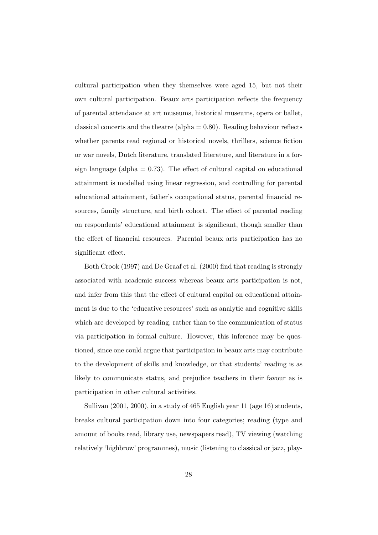cultural participation when they themselves were aged 15, but not their own cultural participation. Beaux arts participation reflects the frequency of parental attendance at art museums, historical museums, opera or ballet, classical concerts and the theatre (alpha  $= 0.80$ ). Reading behaviour reflects whether parents read regional or historical novels, thrillers, science fiction or war novels, Dutch literature, translated literature, and literature in a foreign language (alpha  $= 0.73$ ). The effect of cultural capital on educational attainment is modelled using linear regression, and controlling for parental educational attainment, father's occupational status, parental financial resources, family structure, and birth cohort. The effect of parental reading on respondents' educational attainment is significant, though smaller than the effect of financial resources. Parental beaux arts participation has no significant effect.

Both Crook (1997) and De Graaf et al. (2000) find that reading is strongly associated with academic success whereas beaux arts participation is not, and infer from this that the effect of cultural capital on educational attainment is due to the 'educative resources' such as analytic and cognitive skills which are developed by reading, rather than to the communication of status via participation in formal culture. However, this inference may be questioned, since one could argue that participation in beaux arts may contribute to the development of skills and knowledge, or that students' reading is as likely to communicate status, and prejudice teachers in their favour as is participation in other cultural activities.

Sullivan (2001, 2000), in a study of 465 English year 11 (age 16) students, breaks cultural participation down into four categories; reading (type and amount of books read, library use, newspapers read), TV viewing (watching relatively 'highbrow' programmes), music (listening to classical or jazz, play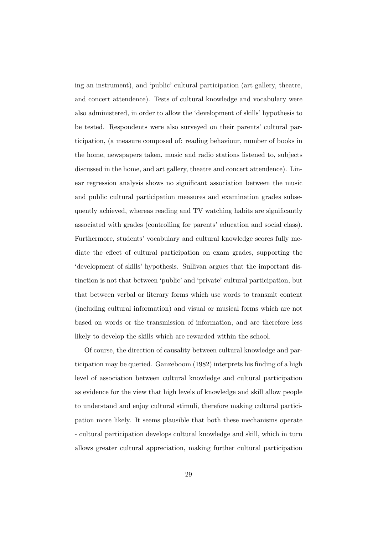ing an instrument), and 'public' cultural participation (art gallery, theatre, and concert attendence). Tests of cultural knowledge and vocabulary were also administered, in order to allow the 'development of skills' hypothesis to be tested. Respondents were also surveyed on their parents' cultural participation, (a measure composed of: reading behaviour, number of books in the home, newspapers taken, music and radio stations listened to, subjects discussed in the home, and art gallery, theatre and concert attendence). Linear regression analysis shows no significant association between the music and public cultural participation measures and examination grades subsequently achieved, whereas reading and TV watching habits are significantly associated with grades (controlling for parents' education and social class). Furthermore, students' vocabulary and cultural knowledge scores fully mediate the effect of cultural participation on exam grades, supporting the 'development of skills' hypothesis. Sullivan argues that the important distinction is not that between 'public' and 'private' cultural participation, but that between verbal or literary forms which use words to transmit content (including cultural information) and visual or musical forms which are not based on words or the transmission of information, and are therefore less likely to develop the skills which are rewarded within the school.

Of course, the direction of causality between cultural knowledge and participation may be queried. Ganzeboom (1982) interprets his finding of a high level of association between cultural knowledge and cultural participation as evidence for the view that high levels of knowledge and skill allow people to understand and enjoy cultural stimuli, therefore making cultural participation more likely. It seems plausible that both these mechanisms operate - cultural participation develops cultural knowledge and skill, which in turn allows greater cultural appreciation, making further cultural participation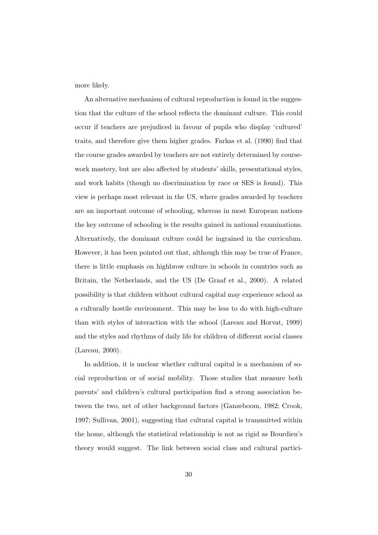more likely.

An alternative mechanism of cultural reproduction is found in the suggestion that the culture of the school reflects the dominant culture. This could occur if teachers are prejudiced in favour of pupils who display 'cultured' traits, and therefore give them higher grades. Farkas et al. (1990) find that the course grades awarded by teachers are not entirely determined by coursework mastery, but are also affected by students' skills, presentational styles, and work habits (though no discrimination by race or SES is found). This view is perhaps most relevant in the US, where grades awarded by teachers are an important outcome of schooling, whereas in most European nations the key outcome of schooling is the results gained in national examinations. Alternatively, the dominant culture could be ingrained in the curriculum. However, it has been pointed out that, although this may be true of France, there is little emphasis on highbrow culture in schools in countries such as Britain, the Netherlands, and the US (De Graaf et al., 2000). A related possibility is that children without cultural capital may experience school as a culturally hostile environment. This may be less to do with high-culture than with styles of interaction with the school (Lareau and Horvat, 1999) and the styles and rhythms of daily life for children of different social classes (Lareau, 2000).

In addition, it is unclear whether cultural capital is a mechanism of social reproduction or of social mobility. Those studies that measure both parents' and children's cultural participation find a strong association between the two, net of other background factors (Ganzeboom, 1982; Crook, 1997; Sullivan, 2001), suggesting that cultural capital is transmitted within the home, although the statistical relationship is not as rigid as Bourdieu's theory would suggest. The link between social class and cultural partici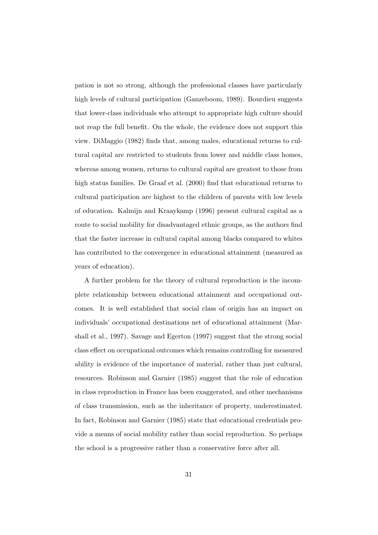pation is not so strong, although the professional classes have particularly high levels of cultural participation (Ganzeboom, 1989). Bourdieu suggests that lower-class individuals who attempt to appropriate high culture should not reap the full benefit. On the whole, the evidence does not support this view. DiMaggio (1982) finds that, among males, educational returns to cultural capital are restricted to students from lower and middle class homes, whereas among women, returns to cultural capital are greatest to those from high status families. De Graaf et al. (2000) find that educational returns to cultural participation are highest to the children of parents with low levels of education. Kalmijn and Kraaykamp (1996) present cultural capital as a route to social mobility for disadvantaged ethnic groups, as the authors find that the faster increase in cultural capital among blacks compared to whites has contributed to the convergence in educational attainment (measured as years of education).

A further problem for the theory of cultural reproduction is the incomplete relationship between educational attainment and occupational outcomes. It is well established that social class of origin has an impact on individuals' occupational destinations net of educational attainment (Marshall et al., 1997). Savage and Egerton (1997) suggest that the strong social class effect on occupational outcomes which remains controlling for measured ability is evidence of the importance of material, rather than just cultural, resources. Robinson and Garnier (1985) suggest that the role of education in class reproduction in France has been exaggerated, and other mechanisms of class transmission, such as the inheritance of property, underestimated. In fact, Robinson and Garnier (1985) state that educational credentials provide a means of social mobility rather than social reproduction. So perhaps the school is a progressive rather than a conservative force after all.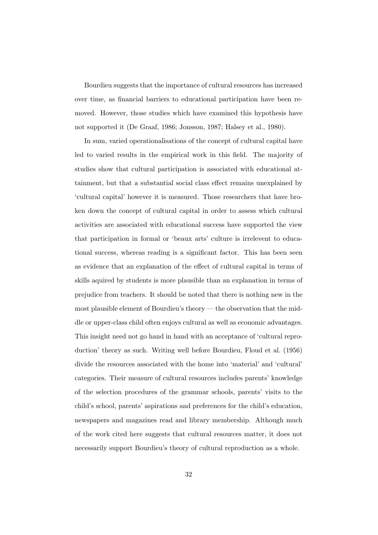Bourdieu suggests that the importance of cultural resources has increased over time, as financial barriers to educational participation have been removed. However, those studies which have examined this hypothesis have not supported it (De Graaf, 1986; Jonsson, 1987; Halsey et al., 1980).

In sum, varied operationalisations of the concept of cultural capital have led to varied results in the empirical work in this field. The majority of studies show that cultural participation is associated with educational attainment, but that a substantial social class effect remains unexplained by 'cultural capital' however it is measured. Those researchers that have broken down the concept of cultural capital in order to assess which cultural activities are associated with educational success have supported the view that participation in formal or 'beaux arts' culture is irrelevent to educational success, whereas reading is a significant factor. This has been seen as evidence that an explanation of the effect of cultural capital in terms of skills aquired by students is more plausible than an explanation in terms of prejudice from teachers. It should be noted that there is nothing new in the most plausible element of Bourdieu's theory — the observation that the middle or upper-class child often enjoys cultural as well as economic advantages. This insight need not go hand in hand with an acceptance of 'cultural reproduction' theory as such. Writing well before Bourdieu, Floud et al. (1956) divide the resources associated with the home into 'material' and 'cultural' categories. Their measure of cultural resources includes parents' knowledge of the selection procedures of the grammar schools, parents' visits to the child's school, parents' aspirations and preferences for the child's education, newspapers and magazines read and library membership. Although much of the work cited here suggests that cultural resources matter, it does not necessarily support Bourdieu's theory of cultural reproduction as a whole.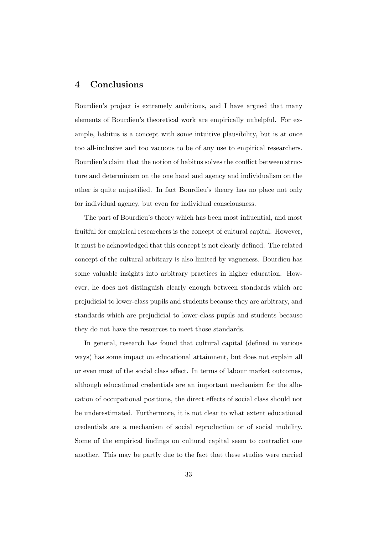# 4 Conclusions

Bourdieu's project is extremely ambitious, and I have argued that many elements of Bourdieu's theoretical work are empirically unhelpful. For example, habitus is a concept with some intuitive plausibility, but is at once too all-inclusive and too vacuous to be of any use to empirical researchers. Bourdieu's claim that the notion of habitus solves the conflict between structure and determinism on the one hand and agency and individualism on the other is quite unjustified. In fact Bourdieu's theory has no place not only for individual agency, but even for individual consciousness.

The part of Bourdieu's theory which has been most influential, and most fruitful for empirical researchers is the concept of cultural capital. However, it must be acknowledged that this concept is not clearly defined. The related concept of the cultural arbitrary is also limited by vagueness. Bourdieu has some valuable insights into arbitrary practices in higher education. However, he does not distinguish clearly enough between standards which are prejudicial to lower-class pupils and students because they are arbitrary, and standards which are prejudicial to lower-class pupils and students because they do not have the resources to meet those standards.

In general, research has found that cultural capital (defined in various ways) has some impact on educational attainment, but does not explain all or even most of the social class effect. In terms of labour market outcomes, although educational credentials are an important mechanism for the allocation of occupational positions, the direct effects of social class should not be underestimated. Furthermore, it is not clear to what extent educational credentials are a mechanism of social reproduction or of social mobility. Some of the empirical findings on cultural capital seem to contradict one another. This may be partly due to the fact that these studies were carried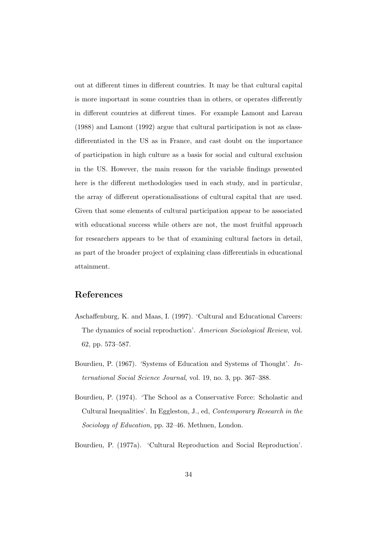out at different times in different countries. It may be that cultural capital is more important in some countries than in others, or operates differently in different countries at different times. For example Lamont and Lareau (1988) and Lamont (1992) argue that cultural participation is not as classdifferentiated in the US as in France, and cast doubt on the importance of participation in high culture as a basis for social and cultural exclusion in the US. However, the main reason for the variable findings presented here is the different methodologies used in each study, and in particular, the array of different operationalisations of cultural capital that are used. Given that some elements of cultural participation appear to be associated with educational success while others are not, the most fruitful approach for researchers appears to be that of examining cultural factors in detail, as part of the broader project of explaining class differentials in educational attainment.

# References

- Aschaffenburg, K. and Maas, I. (1997). 'Cultural and Educational Careers: The dynamics of social reproduction'. American Sociological Review, vol. 62, pp. 573–587.
- Bourdieu, P. (1967). 'Systems of Education and Systems of Thought'. International Social Science Journal, vol. 19, no. 3, pp. 367–388.
- Bourdieu, P. (1974). 'The School as a Conservative Force: Scholastic and Cultural Inequalities'. In Eggleston, J., ed, Contemporary Research in the Sociology of Education, pp. 32–46. Methuen, London.
- Bourdieu, P. (1977a). 'Cultural Reproduction and Social Reproduction'.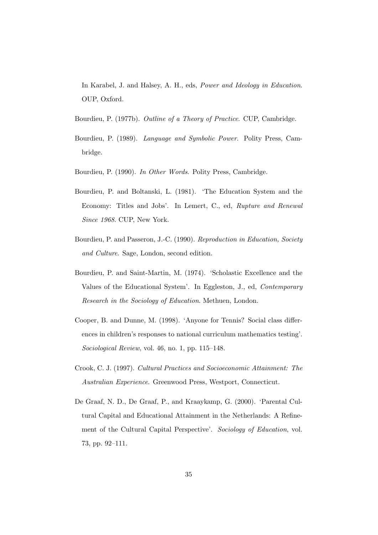In Karabel, J. and Halsey, A. H., eds, Power and Ideology in Education. OUP, Oxford.

- Bourdieu, P. (1977b). Outline of a Theory of Practice. CUP, Cambridge.
- Bourdieu, P. (1989). Language and Symbolic Power. Polity Press, Cambridge.
- Bourdieu, P. (1990). In Other Words. Polity Press, Cambridge.
- Bourdieu, P. and Boltanski, L. (1981). 'The Education System and the Economy: Titles and Jobs'. In Lemert, C., ed, Rupture and Renewal Since 1968. CUP, New York.
- Bourdieu, P. and Passeron, J.-C. (1990). Reproduction in Education, Society and Culture. Sage, London, second edition.
- Bourdieu, P. and Saint-Martin, M. (1974). 'Scholastic Excellence and the Values of the Educational System'. In Eggleston, J., ed, Contemporary Research in the Sociology of Education. Methuen, London.
- Cooper, B. and Dunne, M. (1998). 'Anyone for Tennis? Social class differences in children's responses to national curriculum mathematics testing'. Sociological Review, vol. 46, no. 1, pp. 115–148.
- Crook, C. J. (1997). Cultural Practices and Socioeconomic Attainment: The Australian Experience. Greenwood Press, Westport, Connecticut.
- De Graaf, N. D., De Graaf, P., and Kraaykamp, G. (2000). 'Parental Cultural Capital and Educational Attainment in the Netherlands: A Refinement of the Cultural Capital Perspective'. Sociology of Education, vol. 73, pp. 92–111.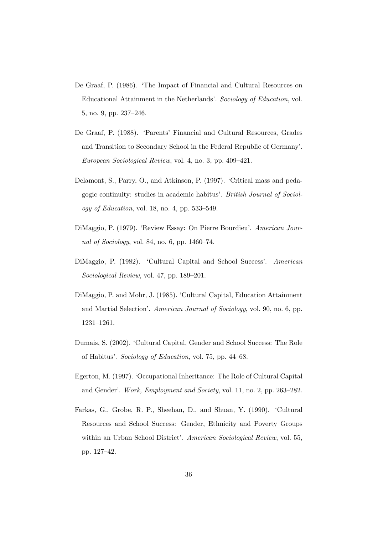- De Graaf, P. (1986). 'The Impact of Financial and Cultural Resources on Educational Attainment in the Netherlands'. Sociology of Education, vol. 5, no. 9, pp. 237–246.
- De Graaf, P. (1988). 'Parents' Financial and Cultural Resources, Grades and Transition to Secondary School in the Federal Republic of Germany'. European Sociological Review, vol. 4, no. 3, pp. 409–421.
- Delamont, S., Parry, O., and Atkinson, P. (1997). 'Critical mass and pedagogic continuity: studies in academic habitus'. British Journal of Sociology of Education, vol. 18, no. 4, pp.  $533-549$ .
- DiMaggio, P. (1979). 'Review Essay: On Pierre Bourdieu'. American Journal of Sociology, vol. 84, no. 6, pp. 1460–74.
- DiMaggio, P. (1982). 'Cultural Capital and School Success'. American Sociological Review, vol. 47, pp. 189–201.
- DiMaggio, P. and Mohr, J. (1985). 'Cultural Capital, Education Attainment and Martial Selection'. American Journal of Sociology, vol. 90, no. 6, pp. 1231–1261.
- Dumais, S. (2002). 'Cultural Capital, Gender and School Success: The Role of Habitus'. Sociology of Education, vol. 75, pp. 44–68.
- Egerton, M. (1997). 'Occupational Inheritance: The Role of Cultural Capital and Gender'. Work, Employment and Society, vol. 11, no. 2, pp. 263–282.
- Farkas, G., Grobe, R. P., Sheehan, D., and Shuan, Y. (1990). 'Cultural Resources and School Success: Gender, Ethnicity and Poverty Groups within an Urban School District'. American Sociological Review, vol. 55, pp. 127–42.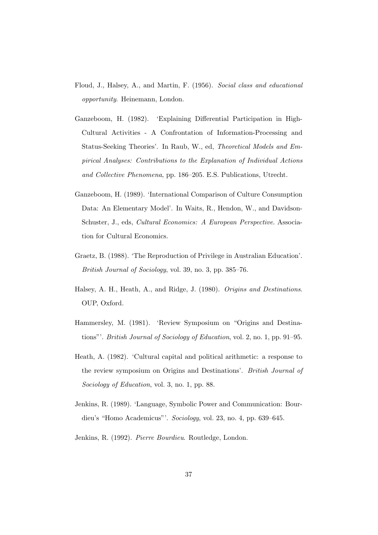- Floud, J., Halsey, A., and Martin, F. (1956). Social class and educational opportunity. Heinemann, London.
- Ganzeboom, H. (1982). 'Explaining Differential Participation in High-Cultural Activities - A Confrontation of Information-Processing and Status-Seeking Theories'. In Raub, W., ed, Theoretical Models and Empirical Analyses: Contributions to the Explanation of Individual Actions and Collective Phenomena, pp. 186–205. E.S. Publications, Utrecht.
- Ganzeboom, H. (1989). 'International Comparison of Culture Consumption Data: An Elementary Model'. In Waits, R., Hendon, W., and Davidson-Schuster, J., eds, Cultural Economics: A European Perspective. Association for Cultural Economics.
- Graetz, B. (1988). 'The Reproduction of Privilege in Australian Education'. British Journal of Sociology, vol. 39, no. 3, pp. 385–76.
- Halsey, A. H., Heath, A., and Ridge, J. (1980). Origins and Destinations. OUP, Oxford.
- Hammersley, M. (1981). 'Review Symposium on "Origins and Destinations"'. British Journal of Sociology of Education, vol. 2, no. 1, pp. 91–95.
- Heath, A. (1982). 'Cultural capital and political arithmetic: a response to the review symposium on Origins and Destinations'. British Journal of Sociology of Education, vol. 3, no. 1, pp. 88.
- Jenkins, R. (1989). 'Language, Symbolic Power and Communication: Bourdieu's "Homo Academicus"'. Sociology, vol. 23, no. 4, pp. 639–645.
- Jenkins, R. (1992). Pierre Bourdieu. Routledge, London.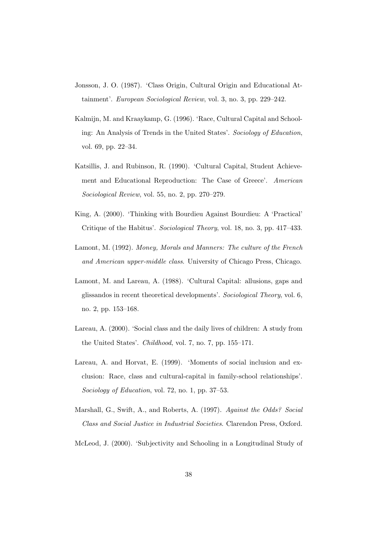- Jonsson, J. O. (1987). 'Class Origin, Cultural Origin and Educational Attainment'. European Sociological Review, vol. 3, no. 3, pp. 229–242.
- Kalmijn, M. and Kraaykamp, G. (1996). 'Race, Cultural Capital and Schooling: An Analysis of Trends in the United States'. Sociology of Education, vol. 69, pp. 22–34.
- Katsillis, J. and Rubinson, R. (1990). 'Cultural Capital, Student Achievement and Educational Reproduction: The Case of Greece'. American Sociological Review, vol. 55, no. 2, pp. 270–279.
- King, A. (2000). 'Thinking with Bourdieu Against Bourdieu: A 'Practical' Critique of the Habitus'. Sociological Theory, vol. 18, no. 3, pp. 417–433.
- Lamont, M. (1992). Money, Morals and Manners: The culture of the French and American upper-middle class. University of Chicago Press, Chicago.
- Lamont, M. and Lareau, A. (1988). 'Cultural Capital: allusions, gaps and glissandos in recent theoretical developments'. Sociological Theory, vol. 6, no. 2, pp. 153–168.
- Lareau, A. (2000). 'Social class and the daily lives of children: A study from the United States'. Childhood, vol. 7, no. 7, pp. 155–171.
- Lareau, A. and Horvat, E. (1999). 'Moments of social inclusion and exclusion: Race, class and cultural-capital in family-school relationships'. Sociology of Education, vol. 72, no. 1, pp. 37–53.
- Marshall, G., Swift, A., and Roberts, A. (1997). Against the Odds? Social Class and Social Justice in Industrial Societies. Clarendon Press, Oxford.
- McLeod, J. (2000). 'Subjectivity and Schooling in a Longitudinal Study of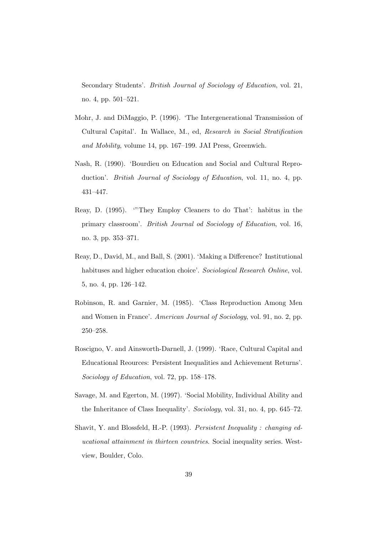Secondary Students'. British Journal of Sociology of Education, vol. 21, no. 4, pp. 501–521.

- Mohr, J. and DiMaggio, P. (1996). 'The Intergenerational Transmission of Cultural Capital'. In Wallace, M., ed, Research in Social Stratification and Mobility, volume 14, pp. 167–199. JAI Press, Greenwich.
- Nash, R. (1990). 'Bourdieu on Education and Social and Cultural Reproduction'. *British Journal of Sociology of Education*, vol. 11, no. 4, pp. 431–447.
- Reay, D. (1995). '"They Employ Cleaners to do That': habitus in the primary classroom'. British Journal od Sociology of Education, vol. 16, no. 3, pp. 353–371.
- Reay, D., David, M., and Ball, S. (2001). 'Making a Difference? Institutional habituses and higher education choice'. Sociological Research Online, vol. 5, no. 4, pp. 126–142.
- Robinson, R. and Garnier, M. (1985). 'Class Reproduction Among Men and Women in France'. American Journal of Sociology, vol. 91, no. 2, pp. 250–258.
- Roscigno, V. and Ainsworth-Darnell, J. (1999). 'Race, Cultural Capital and Educational Reources: Persistent Inequalities and Achievement Returns'. Sociology of Education, vol. 72, pp. 158–178.
- Savage, M. and Egerton, M. (1997). 'Social Mobility, Individual Ability and the Inheritance of Class Inequality'. Sociology, vol. 31, no. 4, pp. 645–72.
- Shavit, Y. and Blossfeld, H.-P. (1993). Persistent Inequality : changing educational attainment in thirteen countries. Social inequality series. Westview, Boulder, Colo.